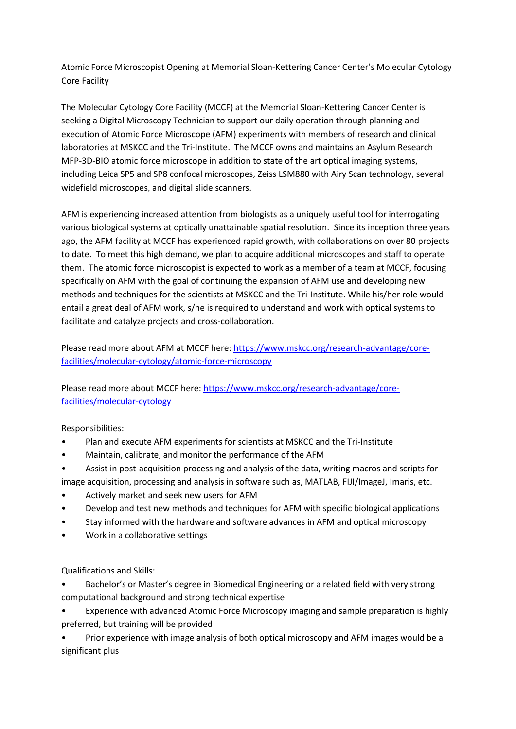Atomic Force Microscopist Opening at Memorial Sloan-Kettering Cancer Center's Molecular Cytology Core Facility

The Molecular Cytology Core Facility (MCCF) at the Memorial Sloan-Kettering Cancer Center is seeking a Digital Microscopy Technician to support our daily operation through planning and execution of Atomic Force Microscope (AFM) experiments with members of research and clinical laboratories at MSKCC and the Tri-Institute. The MCCF owns and maintains an Asylum Research MFP-3D-BIO atomic force microscope in addition to state of the art optical imaging systems, including Leica SP5 and SP8 confocal microscopes, Zeiss LSM880 with Airy Scan technology, several widefield microscopes, and digital slide scanners.

AFM is experiencing increased attention from biologists as a uniquely useful tool for interrogating various biological systems at optically unattainable spatial resolution. Since its inception three years ago, the AFM facility at MCCF has experienced rapid growth, with collaborations on over 80 projects to date. To meet this high demand, we plan to acquire additional microscopes and staff to operate them. The atomic force microscopist is expected to work as a member of a team at MCCF, focusing specifically on AFM with the goal of continuing the expansion of AFM use and developing new methods and techniques for the scientists at MSKCC and the Tri-Institute. While his/her role would entail a great deal of AFM work, s/he is required to understand and work with optical systems to facilitate and catalyze projects and cross-collaboration.

Please read more about AFM at MCCF here: [https://www.mskcc.org/research-advantage/core](https://www.mskcc.org/research-advantage/core-facilities/molecular-cytology/atomic-force-microscopy)[facilities/molecular-cytology/atomic-force-microscopy](https://www.mskcc.org/research-advantage/core-facilities/molecular-cytology/atomic-force-microscopy)

Please read more about MCCF here: [https://www.mskcc.org/research-advantage/core](https://www.mskcc.org/research-advantage/core-facilities/molecular-cytology)[facilities/molecular-cytology](https://www.mskcc.org/research-advantage/core-facilities/molecular-cytology)

Responsibilities:

- Plan and execute AFM experiments for scientists at MSKCC and the Tri-Institute
- Maintain, calibrate, and monitor the performance of the AFM
- Assist in post-acquisition processing and analysis of the data, writing macros and scripts for
- image acquisition, processing and analysis in software such as, MATLAB, FIJI/ImageJ, Imaris, etc.
- Actively market and seek new users for AFM
- Develop and test new methods and techniques for AFM with specific biological applications
- Stay informed with the hardware and software advances in AFM and optical microscopy
- Work in a collaborative settings

Qualifications and Skills:

- Bachelor's or Master's degree in Biomedical Engineering or a related field with very strong computational background and strong technical expertise
- Experience with advanced Atomic Force Microscopy imaging and sample preparation is highly preferred, but training will be provided
- Prior experience with image analysis of both optical microscopy and AFM images would be a significant plus